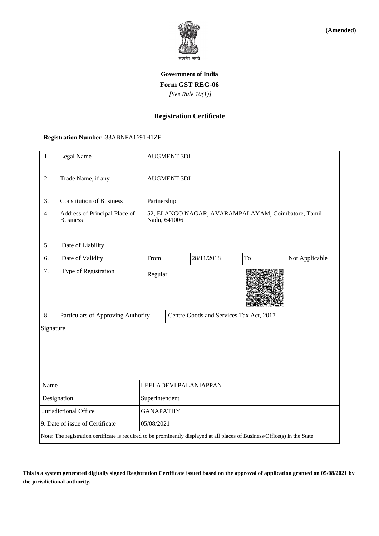

**(Amended)**

# **Government of India Form GST REG-06**  *[See Rule 10(1)]*

# **Registration Certificate**

### **Registration Number :**33ABNFA1691H1ZF

| 1.                                                                                                                           | Legal Name                                       |                       | <b>AUGMENT 3DI</b>                                                 |            |    |                |  |
|------------------------------------------------------------------------------------------------------------------------------|--------------------------------------------------|-----------------------|--------------------------------------------------------------------|------------|----|----------------|--|
| 2.                                                                                                                           | Trade Name, if any                               |                       | <b>AUGMENT 3DI</b>                                                 |            |    |                |  |
| 3.                                                                                                                           | <b>Constitution of Business</b>                  |                       | Partnership                                                        |            |    |                |  |
| 4.                                                                                                                           | Address of Principal Place of<br><b>Business</b> |                       | 52, ELANGO NAGAR, AVARAMPALAYAM, Coimbatore, Tamil<br>Nadu, 641006 |            |    |                |  |
| 5.                                                                                                                           | Date of Liability                                |                       |                                                                    |            |    |                |  |
| 6.                                                                                                                           | Date of Validity                                 | From                  |                                                                    | 28/11/2018 | To | Not Applicable |  |
| 7.                                                                                                                           | Type of Registration                             |                       | Regular                                                            |            |    |                |  |
| 8.                                                                                                                           | Particulars of Approving Authority               |                       | Centre Goods and Services Tax Act, 2017                            |            |    |                |  |
| Signature                                                                                                                    |                                                  |                       |                                                                    |            |    |                |  |
| Name                                                                                                                         |                                                  | LEELADEVI PALANIAPPAN |                                                                    |            |    |                |  |
| Designation                                                                                                                  |                                                  | Superintendent        |                                                                    |            |    |                |  |
| Jurisdictional Office                                                                                                        |                                                  | <b>GANAPATHY</b>      |                                                                    |            |    |                |  |
| 9. Date of issue of Certificate                                                                                              |                                                  |                       | 05/08/2021                                                         |            |    |                |  |
| Note: The registration certificate is required to be prominently displayed at all places of Business/Office(s) in the State. |                                                  |                       |                                                                    |            |    |                |  |

**This is a system generated digitally signed Registration Certificate issued based on the approval of application granted on 05/08/2021 by the jurisdictional authority.**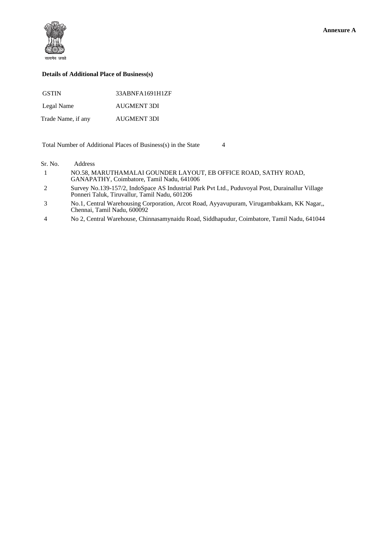

#### **Details of Additional Place of Business(s)**

| <b>GSTIN</b>       | 33ABNFA1691H1ZF |
|--------------------|-----------------|
| Legal Name         | AUGMENT 3DI     |
| Trade Name, if any | AUGMENT 3DI     |

Total Number of Additional Places of Business(s) in the State 4

Sr. No. Address

- 1 NO.58, MARUTHAMALAI GOUNDER LAYOUT, EB OFFICE ROAD, SATHY ROAD, GANAPATHY, Coimbatore, Tamil Nadu, 641006
- 2 Survey No.139-157/2, IndoSpace AS Industrial Park Pvt Ltd., Puduvoyal Post, Durainallur Village Ponneri Taluk, Tiruvallur, Tamil Nadu, 601206
- 3 No.1, Central Warehousing Corporation, Arcot Road, Ayyavupuram, Virugambakkam, KK Nagar,, Chennai, Tamil Nadu, 600092
- 4 No 2, Central Warehouse, Chinnasamynaidu Road, Siddhapudur, Coimbatore, Tamil Nadu, 641044